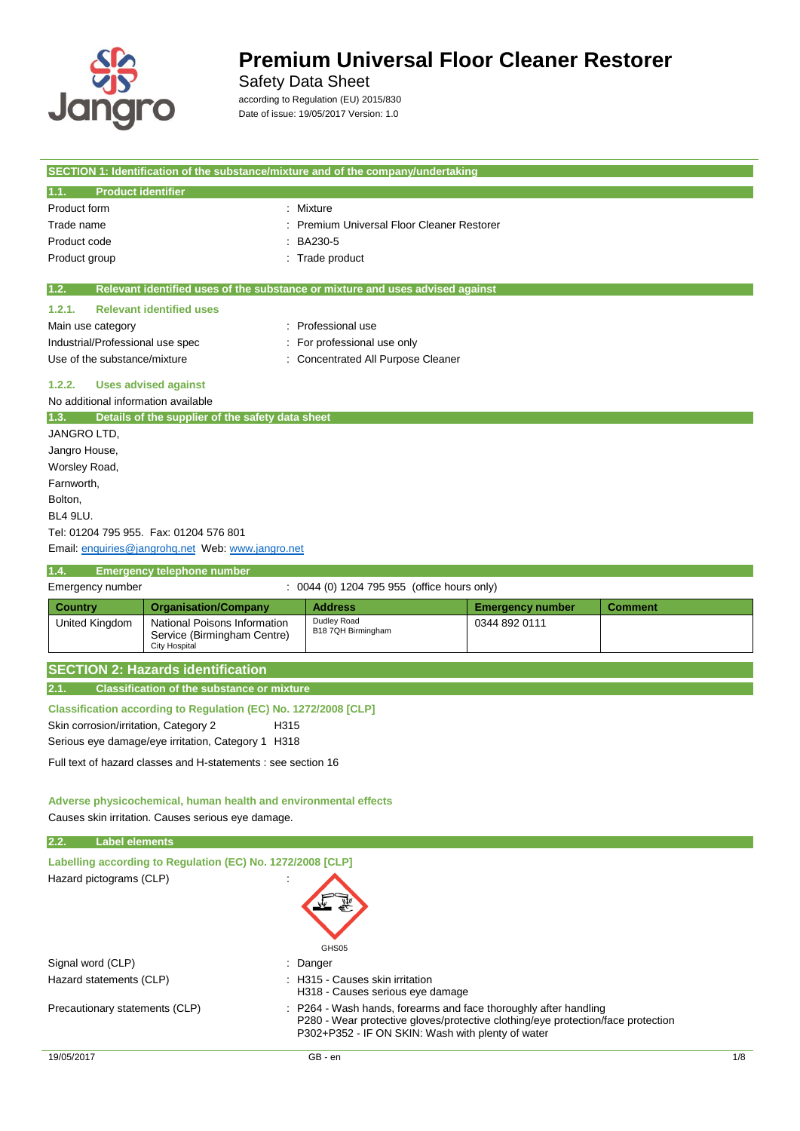

 $\overline{\phantom{a}}$ 

## **Premium Universal Floor Cleaner Restorer**

Safety Data Sheet

according to Regulation (EU) 2015/830 Date of issue: 19/05/2017 Version: 1.0

|                                              |                                                                 | SECTION 1: Identification of the substance/mixture and of the company/undertaking |                         |                |
|----------------------------------------------|-----------------------------------------------------------------|-----------------------------------------------------------------------------------|-------------------------|----------------|
| <b>Product identifier</b><br>1.1.            |                                                                 |                                                                                   |                         |                |
| Product form                                 |                                                                 | Mixture                                                                           |                         |                |
| Trade name                                   |                                                                 | Premium Universal Floor Cleaner Restorer                                          |                         |                |
| Product code                                 |                                                                 | BA230-5                                                                           |                         |                |
| Product group                                |                                                                 | Trade product                                                                     |                         |                |
|                                              |                                                                 |                                                                                   |                         |                |
| 1.2.                                         |                                                                 | Relevant identified uses of the substance or mixture and uses advised against     |                         |                |
| 1.2.1.                                       | <b>Relevant identified uses</b>                                 |                                                                                   |                         |                |
| Main use category                            |                                                                 | Professional use                                                                  |                         |                |
| Industrial/Professional use spec             |                                                                 | For professional use only                                                         |                         |                |
| Use of the substance/mixture                 |                                                                 | <b>Concentrated All Purpose Cleaner</b>                                           |                         |                |
| 1.2.2.                                       | <b>Uses advised against</b>                                     |                                                                                   |                         |                |
| No additional information available          |                                                                 |                                                                                   |                         |                |
| 1.3.                                         | Details of the supplier of the safety data sheet                |                                                                                   |                         |                |
| JANGRO LTD,                                  |                                                                 |                                                                                   |                         |                |
| Jangro House,                                |                                                                 |                                                                                   |                         |                |
| Worsley Road,                                |                                                                 |                                                                                   |                         |                |
| Farnworth,                                   |                                                                 |                                                                                   |                         |                |
| Bolton,                                      |                                                                 |                                                                                   |                         |                |
| BL4 9LU.                                     |                                                                 |                                                                                   |                         |                |
|                                              | Tel: 01204 795 955. Fax: 01204 576 801                          |                                                                                   |                         |                |
|                                              | Email: enquiries@jangrohq.net Web: www.jangro.net               |                                                                                   |                         |                |
| 1.4.                                         | <b>Emergency telephone number</b>                               |                                                                                   |                         |                |
| Emergency number                             |                                                                 | 0044 (0) 1204 795 955 (office hours only)                                         |                         |                |
| <b>Country</b>                               | <b>Organisation/Company</b>                                     | <b>Address</b>                                                                    | <b>Emergency number</b> | <b>Comment</b> |
| United Kingdom                               | National Poisons Information<br>Service (Birmingham Centre)     | Dudley Road<br>B18 7QH Birmingham                                                 | 0344 892 0111           |                |
|                                              | <b>City Hospital</b>                                            |                                                                                   |                         |                |
|                                              | <b>SECTION 2: Hazards identification</b>                        |                                                                                   |                         |                |
| 2.1.                                         | <b>Classification of the substance or mixture</b>               |                                                                                   |                         |                |
|                                              |                                                                 |                                                                                   |                         |                |
|                                              | Classification according to Regulation (EC) No. 1272/2008 [CLP] |                                                                                   |                         |                |
| Skin corrosion/irritation, Category 2        | H <sub>315</sub>                                                |                                                                                   |                         |                |
|                                              | Serious eye damage/eye irritation, Category 1 H318              |                                                                                   |                         |                |
|                                              | Full text of hazard classes and H-statements : see section 16   |                                                                                   |                         |                |
|                                              |                                                                 |                                                                                   |                         |                |
|                                              | Adverse physicochemical, human health and environmental effects |                                                                                   |                         |                |
|                                              | Causes skin irritation. Causes serious eye damage.              |                                                                                   |                         |                |
| <b>Label elements</b><br>2.2.                |                                                                 |                                                                                   |                         |                |
|                                              | Labelling according to Regulation (EC) No. 1272/2008 [CLP]      |                                                                                   |                         |                |
| Hazard pictograms (CLP)                      |                                                                 |                                                                                   |                         |                |
|                                              |                                                                 | GHS05                                                                             |                         |                |
| Signal word (CLP)<br>Hazard statements (CLP) |                                                                 | : Danger<br>: H315 - Causes skin irritation<br>H318 - Causes serious eye damage   |                         |                |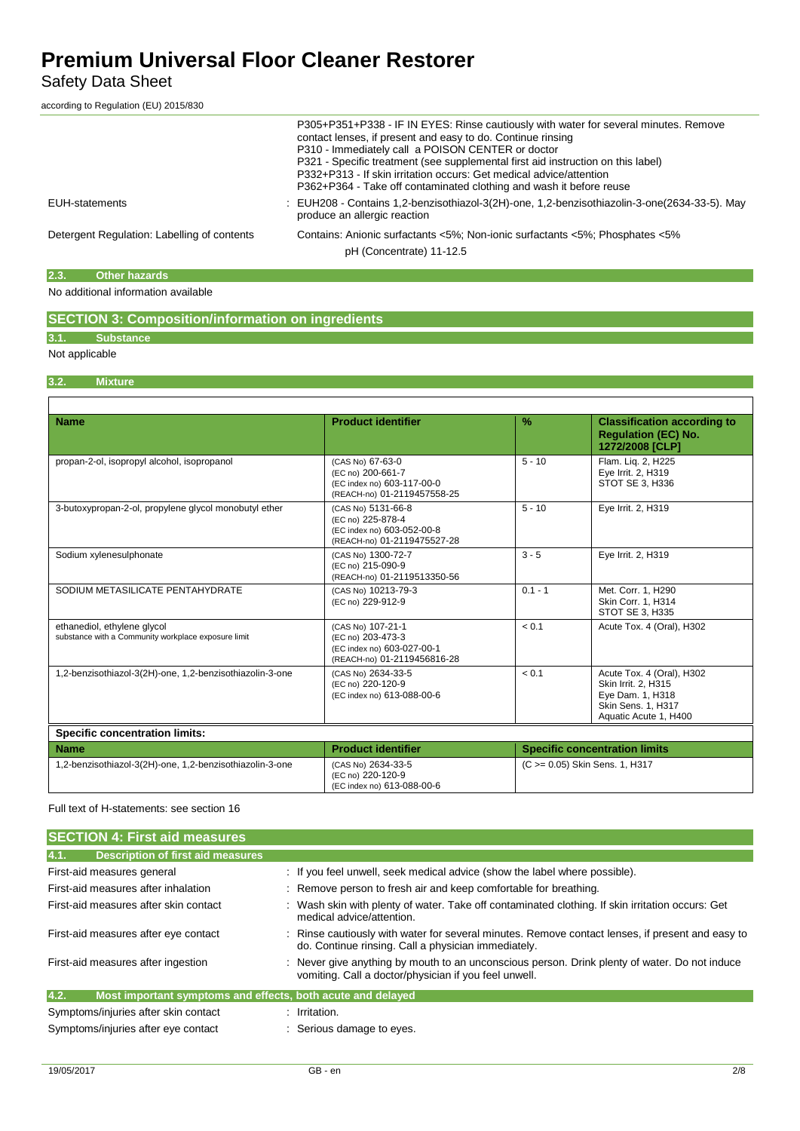### Safety Data Sheet

according to Regulation (EU) 2015/830

|                                             | P305+P351+P338 - IF IN EYES: Rinse cautiously with water for several minutes. Remove<br>contact lenses, if present and easy to do. Continue rinsing<br>P310 - Immediately call a POISON CENTER or doctor<br>P321 - Specific treatment (see supplemental first aid instruction on this label)<br>P332+P313 - If skin irritation occurs: Get medical advice/attention<br>P362+P364 - Take off contaminated clothing and wash it before reuse |
|---------------------------------------------|--------------------------------------------------------------------------------------------------------------------------------------------------------------------------------------------------------------------------------------------------------------------------------------------------------------------------------------------------------------------------------------------------------------------------------------------|
| EUH-statements                              | : EUH208 - Contains 1,2-benzisothiazol-3(2H)-one, 1,2-benzisothiazolin-3-one(2634-33-5). May<br>produce an allergic reaction                                                                                                                                                                                                                                                                                                               |
| Detergent Regulation: Labelling of contents | Contains: Anionic surfactants <5%; Non-ionic surfactants <5%; Phosphates <5%<br>pH (Concentrate) 11-12.5                                                                                                                                                                                                                                                                                                                                   |

#### **2.3. Other hazards**

### No additional information available

### **SECTION 3: Composition/information on ingredients**

### **3.1. Substance**

### Not applicable

#### **3.2. Mixture**

| <b>Name</b>                                                                        | <b>Product identifier</b>                                                                            | $\%$      | <b>Classification according to</b><br><b>Regulation (EC) No.</b><br>1272/2008 [CLP]                                        |
|------------------------------------------------------------------------------------|------------------------------------------------------------------------------------------------------|-----------|----------------------------------------------------------------------------------------------------------------------------|
| propan-2-ol, isopropyl alcohol, isopropanol                                        | (CAS No) 67-63-0<br>(EC no) 200-661-7<br>(EC index no) 603-117-00-0<br>(REACH-no) 01-2119457558-25   | $5 - 10$  | Flam. Lig. 2, H225<br>Eye Irrit. 2, H319<br><b>STOT SE 3. H336</b>                                                         |
| 3-butoxypropan-2-ol, propylene glycol monobutyl ether                              | (CAS No) 5131-66-8<br>(EC no) 225-878-4<br>(EC index no) 603-052-00-8<br>(REACH-no) 01-2119475527-28 | $5 - 10$  | Eye Irrit. 2, H319                                                                                                         |
| Sodium xylenesulphonate                                                            | (CAS No) 1300-72-7<br>(EC no) 215-090-9<br>(REACH-no) 01-2119513350-56                               | $3 - 5$   | Eye Irrit. 2, H319                                                                                                         |
| SODIUM METASILICATE PENTAHYDRATE                                                   | (CAS No) 10213-79-3<br>(EC no) 229-912-9                                                             | $0.1 - 1$ | Met. Corr. 1, H290<br>Skin Corr. 1, H314<br>STOT SE 3, H335                                                                |
| ethanediol, ethylene glycol<br>substance with a Community workplace exposure limit | (CAS No) 107-21-1<br>(EC no) 203-473-3<br>(EC index no) 603-027-00-1<br>(REACH-no) 01-2119456816-28  | < 0.1     | Acute Tox. 4 (Oral). H302                                                                                                  |
| 1,2-benzisothiazol-3(2H)-one, 1,2-benzisothiazolin-3-one                           | (CAS No) 2634-33-5<br>(EC no) 220-120-9<br>(EC index no) 613-088-00-6                                | < 0.1     | Acute Tox. 4 (Oral), H302<br>Skin Irrit. 2, H315<br>Eye Dam. 1, H318<br><b>Skin Sens. 1. H317</b><br>Aquatic Acute 1, H400 |
| <b>Specific concentration limits:</b>                                              |                                                                                                      |           |                                                                                                                            |
| <b>Name</b>                                                                        | <b>Product identifier</b>                                                                            |           | <b>Specific concentration limits</b>                                                                                       |
| 1,2-benzisothiazol-3(2H)-one, 1,2-benzisothiazolin-3-one                           | (CAS No) 2634-33-5<br>(EC no) 220-120-9<br>(EC index no) 613-088-00-6                                |           | (C >= 0.05) Skin Sens. 1, H317                                                                                             |

#### Full text of H-statements: see section 16

| <b>SECTION 4: First aid measures</b>                                |                                                                                                                                                        |
|---------------------------------------------------------------------|--------------------------------------------------------------------------------------------------------------------------------------------------------|
| 4.1.<br><b>Description of first aid measures</b>                    |                                                                                                                                                        |
| First-aid measures general                                          | : If you feel unwell, seek medical advice (show the label where possible).                                                                             |
| First-aid measures after inhalation                                 | : Remove person to fresh air and keep comfortable for breathing.                                                                                       |
| First-aid measures after skin contact                               | : Wash skin with plenty of water. Take off contaminated clothing. If skin irritation occurs: Get<br>medical advice/attention.                          |
| First-aid measures after eye contact                                | Rinse cautiously with water for several minutes. Remove contact lenses, if present and easy to<br>do. Continue rinsing. Call a physician immediately.  |
| First-aid measures after ingestion                                  | : Never give anything by mouth to an unconscious person. Drink plenty of water. Do not induce<br>vomiting. Call a doctor/physician if you feel unwell. |
| 4.2.<br>Most important symptoms and effects, both acute and delayed |                                                                                                                                                        |
| Symptoms/injuries after skin contact                                | $:$ Irritation.                                                                                                                                        |
| Symptoms/injuries after eye contact                                 | : Serious damage to eyes.                                                                                                                              |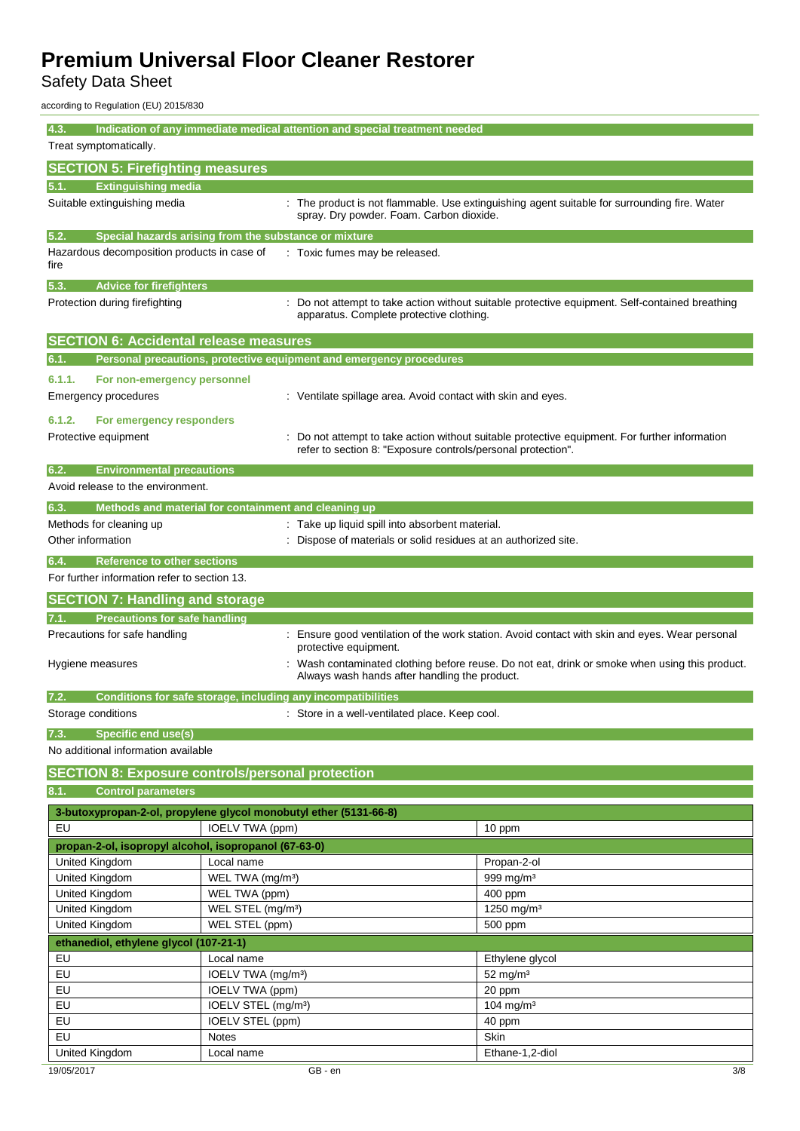Safety Data Sheet

according to Regulation (EU) 2015/830

| 4.3.<br>Indication of any immediate medical attention and special treatment needed<br>Treat symptomatically. |                                                                                                                                                                        |                                                                     |                                                                                                 |
|--------------------------------------------------------------------------------------------------------------|------------------------------------------------------------------------------------------------------------------------------------------------------------------------|---------------------------------------------------------------------|-------------------------------------------------------------------------------------------------|
| <b>SECTION 5: Firefighting measures</b>                                                                      |                                                                                                                                                                        |                                                                     |                                                                                                 |
| <b>Extinguishing media</b><br>5.1.                                                                           |                                                                                                                                                                        |                                                                     |                                                                                                 |
| Suitable extinguishing media                                                                                 |                                                                                                                                                                        | spray. Dry powder. Foam. Carbon dioxide.                            | : The product is not flammable. Use extinguishing agent suitable for surrounding fire. Water    |
| 5.2.<br>Special hazards arising from the substance or mixture                                                |                                                                                                                                                                        |                                                                     |                                                                                                 |
| Hazardous decomposition products in case of<br>fire                                                          |                                                                                                                                                                        | : Toxic fumes may be released.                                      |                                                                                                 |
| 5.3.<br><b>Advice for firefighters</b>                                                                       |                                                                                                                                                                        |                                                                     |                                                                                                 |
| Protection during firefighting                                                                               |                                                                                                                                                                        | apparatus. Complete protective clothing.                            | : Do not attempt to take action without suitable protective equipment. Self-contained breathing |
| <b>SECTION 6: Accidental release measures</b>                                                                |                                                                                                                                                                        |                                                                     |                                                                                                 |
| 6.1.                                                                                                         |                                                                                                                                                                        | Personal precautions, protective equipment and emergency procedures |                                                                                                 |
| 6.1.1.<br>For non-emergency personnel                                                                        |                                                                                                                                                                        |                                                                     |                                                                                                 |
| Emergency procedures                                                                                         |                                                                                                                                                                        | : Ventilate spillage area. Avoid contact with skin and eyes.        |                                                                                                 |
| 6.1.2.<br>For emergency responders                                                                           |                                                                                                                                                                        |                                                                     |                                                                                                 |
| Protective equipment                                                                                         |                                                                                                                                                                        | refer to section 8: "Exposure controls/personal protection".        | Do not attempt to take action without suitable protective equipment. For further information    |
| 6.2.<br><b>Environmental precautions</b>                                                                     |                                                                                                                                                                        |                                                                     |                                                                                                 |
| Avoid release to the environment.                                                                            |                                                                                                                                                                        |                                                                     |                                                                                                 |
| Methods and material for containment and cleaning up<br>6.3.                                                 |                                                                                                                                                                        |                                                                     |                                                                                                 |
| Methods for cleaning up                                                                                      |                                                                                                                                                                        | : Take up liquid spill into absorbent material.                     |                                                                                                 |
| Other information                                                                                            |                                                                                                                                                                        | Dispose of materials or solid residues at an authorized site.       |                                                                                                 |
| <b>Reference to other sections</b><br>6.4.                                                                   |                                                                                                                                                                        |                                                                     |                                                                                                 |
| For further information refer to section 13.                                                                 |                                                                                                                                                                        |                                                                     |                                                                                                 |
| <b>SECTION 7: Handling and storage</b>                                                                       |                                                                                                                                                                        |                                                                     |                                                                                                 |
| <b>Precautions for safe handling</b><br>7.1.                                                                 |                                                                                                                                                                        |                                                                     |                                                                                                 |
| Precautions for safe handling                                                                                |                                                                                                                                                                        |                                                                     | : Ensure good ventilation of the work station. Avoid contact with skin and eyes. Wear personal  |
| Hygiene measures                                                                                             | protective equipment.<br>Wash contaminated clothing before reuse. Do not eat, drink or smoke when using this product.<br>Always wash hands after handling the product. |                                                                     |                                                                                                 |
|                                                                                                              |                                                                                                                                                                        |                                                                     |                                                                                                 |
| 7.2.                                                                                                         |                                                                                                                                                                        | Conditions for safe storage, including any incompatibilities        |                                                                                                 |
| Storage conditions                                                                                           |                                                                                                                                                                        | : Store in a well-ventilated place. Keep cool.                      |                                                                                                 |
| <b>Specific end use(s)</b><br>7.3.<br>No additional information available                                    |                                                                                                                                                                        |                                                                     |                                                                                                 |
|                                                                                                              |                                                                                                                                                                        |                                                                     |                                                                                                 |
| <b>SECTION 8: Exposure controls/personal protection</b>                                                      |                                                                                                                                                                        |                                                                     |                                                                                                 |
| <b>Control parameters</b><br>8.1.                                                                            |                                                                                                                                                                        |                                                                     |                                                                                                 |
| 3-butoxypropan-2-ol, propylene glycol monobutyl ether (5131-66-8)                                            |                                                                                                                                                                        |                                                                     |                                                                                                 |
| EU                                                                                                           | IOELV TWA (ppm)                                                                                                                                                        |                                                                     | 10 ppm                                                                                          |
| propan-2-ol, isopropyl alcohol, isopropanol (67-63-0)                                                        |                                                                                                                                                                        |                                                                     |                                                                                                 |
| United Kingdom                                                                                               | Local name                                                                                                                                                             |                                                                     | Propan-2-ol                                                                                     |
| United Kingdom                                                                                               | WEL TWA (mg/m <sup>3</sup> )                                                                                                                                           |                                                                     | 999 mg/m <sup>3</sup>                                                                           |
| <b>United Kingdom</b>                                                                                        | WEL TWA (ppm)                                                                                                                                                          |                                                                     | 400 ppm                                                                                         |
| United Kingdom                                                                                               | WEL STEL (mg/m <sup>3</sup> )                                                                                                                                          |                                                                     | 1250 mg/m <sup>3</sup>                                                                          |
| United Kingdom                                                                                               | WEL STEL (ppm)                                                                                                                                                         |                                                                     | 500 ppm                                                                                         |
| ethanediol, ethylene glycol (107-21-1)                                                                       |                                                                                                                                                                        |                                                                     |                                                                                                 |
| EU                                                                                                           |                                                                                                                                                                        |                                                                     |                                                                                                 |
| EU                                                                                                           | Local name<br>IOELV TWA (mg/m <sup>3</sup> )                                                                                                                           |                                                                     | Ethylene glycol<br>$52$ mg/m <sup>3</sup>                                                       |
| EU                                                                                                           |                                                                                                                                                                        |                                                                     |                                                                                                 |
| EU                                                                                                           | IOELV TWA (ppm)<br>IOELV STEL (mg/m <sup>3</sup> )                                                                                                                     |                                                                     | 20 ppm<br>104 mg/m <sup>3</sup>                                                                 |
| EU                                                                                                           | IOELV STEL (ppm)                                                                                                                                                       |                                                                     |                                                                                                 |
| EU                                                                                                           | <b>Notes</b>                                                                                                                                                           |                                                                     | 40 ppm<br>Skin                                                                                  |
| United Kingdom                                                                                               | Local name                                                                                                                                                             |                                                                     | Ethane-1,2-diol                                                                                 |
|                                                                                                              |                                                                                                                                                                        |                                                                     |                                                                                                 |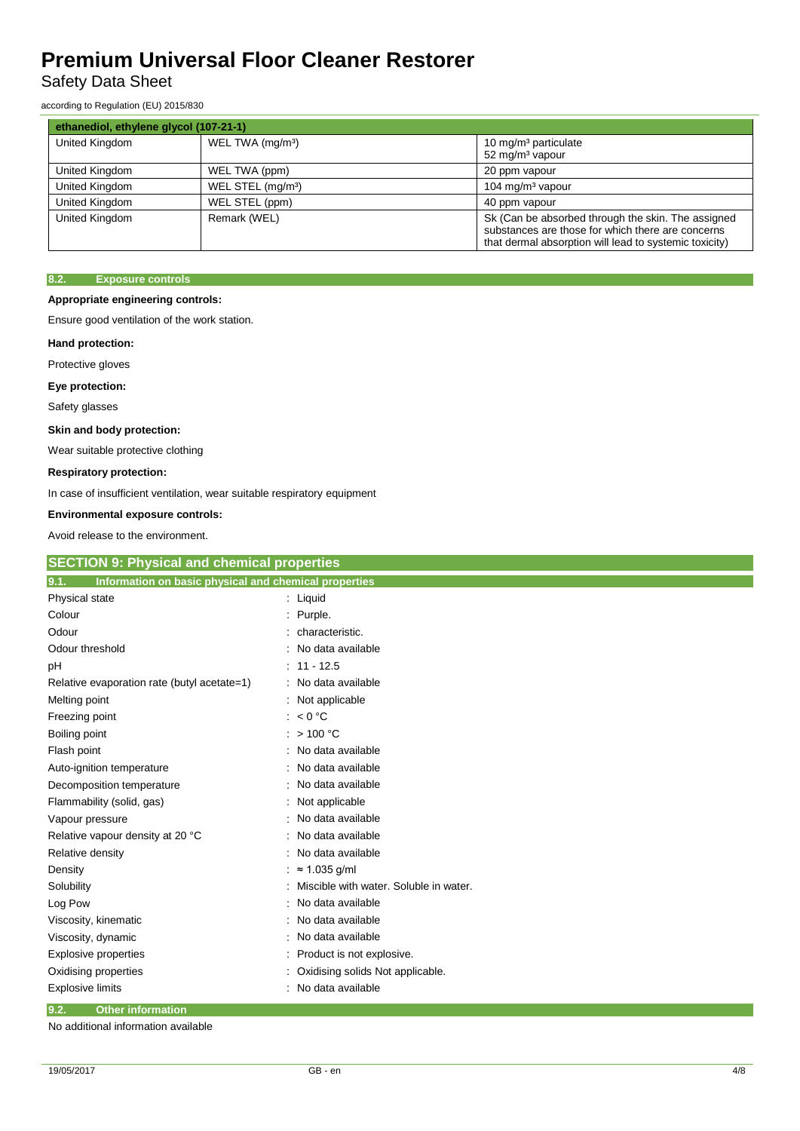### Safety Data Sheet

according to Regulation (EU) 2015/830

| ethanediol, ethylene glycol (107-21-1) |                               |                                                                                                                                                                   |
|----------------------------------------|-------------------------------|-------------------------------------------------------------------------------------------------------------------------------------------------------------------|
| United Kingdom                         | WEL TWA (mg/m <sup>3</sup> )  | 10 mg/m <sup>3</sup> particulate<br>52 mg/m <sup>3</sup> vapour                                                                                                   |
| United Kingdom                         | WEL TWA (ppm)                 | 20 ppm vapour                                                                                                                                                     |
| United Kingdom                         | WEL STEL (mg/m <sup>3</sup> ) | 104 mg/m <sup>3</sup> vapour                                                                                                                                      |
| United Kingdom                         | WEL STEL (ppm)                | 40 ppm vapour                                                                                                                                                     |
| United Kingdom                         | Remark (WEL)                  | Sk (Can be absorbed through the skin. The assigned<br>substances are those for which there are concerns<br>that dermal absorption will lead to systemic toxicity) |

#### **8.2. Exposure controls**

#### **Appropriate engineering controls:**

Ensure good ventilation of the work station.

#### **Hand protection:**

Protective gloves

#### **Eye protection:**

Safety glasses

#### **Skin and body protection:**

Wear suitable protective clothing

#### **Respiratory protection:**

In case of insufficient ventilation, wear suitable respiratory equipment

### **Environmental exposure controls:**

Avoid release to the environment.

| <b>SECTION 9: Physical and chemical properties</b>            |                                        |  |
|---------------------------------------------------------------|----------------------------------------|--|
| 9.1.<br>Information on basic physical and chemical properties |                                        |  |
| Physical state                                                | : Liquid                               |  |
| Colour                                                        | Purple.                                |  |
| Odour                                                         | characteristic.                        |  |
| Odour threshold                                               | No data available                      |  |
| рH                                                            | $: 11 - 12.5$                          |  |
| Relative evaporation rate (butyl acetate=1)                   | No data available                      |  |
| Melting point                                                 | Not applicable<br>÷                    |  |
| Freezing point                                                | < 0 °C                                 |  |
| Boiling point                                                 | >100 °C                                |  |
| Flash point                                                   | No data available                      |  |
| Auto-ignition temperature                                     | No data available                      |  |
| Decomposition temperature                                     | No data available                      |  |
| Flammability (solid, gas)                                     | Not applicable                         |  |
| Vapour pressure                                               | No data available                      |  |
| Relative vapour density at 20 °C                              | No data available                      |  |
| Relative density                                              | No data available                      |  |
| Density                                                       | $\approx$ 1.035 g/ml                   |  |
| Solubility                                                    | Miscible with water. Soluble in water. |  |
| Log Pow                                                       | No data available                      |  |
| Viscosity, kinematic                                          | No data available                      |  |
| Viscosity, dynamic                                            | No data available                      |  |
| <b>Explosive properties</b>                                   | Product is not explosive.              |  |
| Oxidising properties                                          | Oxidising solids Not applicable.       |  |
| <b>Explosive limits</b>                                       | No data available                      |  |
| 9.2.<br><b>Other information</b>                              |                                        |  |

No additional information available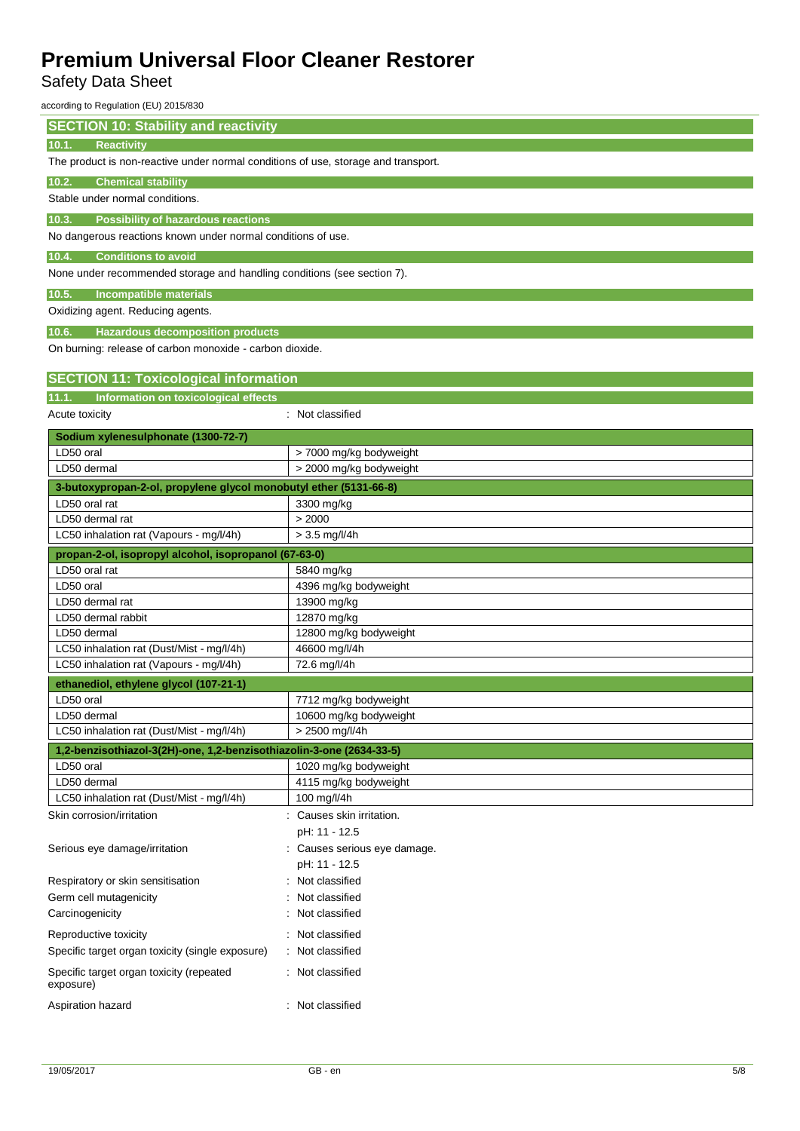Safety Data Sheet

according to Regulation (EU) 2015/830

| <b>SECTION 10: Stability and reactivity</b>                                        |                              |  |  |
|------------------------------------------------------------------------------------|------------------------------|--|--|
| <b>Reactivity</b><br>10.1.                                                         |                              |  |  |
| The product is non-reactive under normal conditions of use, storage and transport. |                              |  |  |
| <b>Chemical stability</b><br>10.2.                                                 |                              |  |  |
| Stable under normal conditions.                                                    |                              |  |  |
| <b>Possibility of hazardous reactions</b><br>10.3.                                 |                              |  |  |
| No dangerous reactions known under normal conditions of use.                       |                              |  |  |
| 10.4.<br><b>Conditions to avoid</b>                                                |                              |  |  |
| None under recommended storage and handling conditions (see section 7).            |                              |  |  |
| 10.5.<br><b>Incompatible materials</b>                                             |                              |  |  |
| Oxidizing agent. Reducing agents.                                                  |                              |  |  |
| <b>Hazardous decomposition products</b><br>10.6.                                   |                              |  |  |
| On burning: release of carbon monoxide - carbon dioxide.                           |                              |  |  |
|                                                                                    |                              |  |  |
| <b>SECTION 11: Toxicological information</b>                                       |                              |  |  |
| Information on toxicological effects<br>11.1.                                      |                              |  |  |
| Acute toxicity                                                                     | : Not classified             |  |  |
| Sodium xylenesulphonate (1300-72-7)                                                |                              |  |  |
| LD50 oral                                                                          | > 7000 mg/kg bodyweight      |  |  |
| LD50 dermal                                                                        | > 2000 mg/kg bodyweight      |  |  |
| 3-butoxypropan-2-ol, propylene glycol monobutyl ether (5131-66-8)                  |                              |  |  |
| LD50 oral rat                                                                      | 3300 mg/kg                   |  |  |
| LD50 dermal rat                                                                    | > 2000                       |  |  |
| LC50 inhalation rat (Vapours - mg/l/4h)                                            | $> 3.5$ mg/l/4h              |  |  |
| propan-2-ol, isopropyl alcohol, isopropanol (67-63-0)                              |                              |  |  |
| LD50 oral rat                                                                      | 5840 mg/kg                   |  |  |
| LD50 oral                                                                          | 4396 mg/kg bodyweight        |  |  |
| LD50 dermal rat                                                                    | 13900 mg/kg                  |  |  |
| LD50 dermal rabbit                                                                 | 12870 mg/kg                  |  |  |
| LD50 dermal                                                                        | 12800 mg/kg bodyweight       |  |  |
| LC50 inhalation rat (Dust/Mist - mg/l/4h)                                          | 46600 mg/l/4h                |  |  |
| LC50 inhalation rat (Vapours - mg/l/4h)                                            | 72.6 mg/l/4h                 |  |  |
| ethanediol, ethylene glycol (107-21-1)                                             |                              |  |  |
| LD50 oral                                                                          | 7712 mg/kg bodyweight        |  |  |
| LD50 dermal                                                                        | 10600 mg/kg bodyweight       |  |  |
| LC50 inhalation rat (Dust/Mist - mg/l/4h)                                          | > 2500 mg/l/4h               |  |  |
| 1,2-benzisothiazol-3(2H)-one, 1,2-benzisothiazolin-3-one (2634-33-5)               |                              |  |  |
| LD50 oral                                                                          | 1020 mg/kg bodyweight        |  |  |
| LD50 dermal                                                                        | 4115 mg/kg bodyweight        |  |  |
| LC50 inhalation rat (Dust/Mist - mg/l/4h)                                          | 100 mg/l/4h                  |  |  |
| Skin corrosion/irritation                                                          | : Causes skin irritation.    |  |  |
|                                                                                    | pH: 11 - 12.5                |  |  |
| Serious eye damage/irritation                                                      | : Causes serious eye damage. |  |  |
|                                                                                    | pH: 11 - 12.5                |  |  |
| Respiratory or skin sensitisation                                                  | Not classified               |  |  |
| Germ cell mutagenicity                                                             | Not classified               |  |  |
| Carcinogenicity                                                                    | Not classified               |  |  |
| Reproductive toxicity                                                              | Not classified               |  |  |
| Specific target organ toxicity (single exposure)                                   | Not classified               |  |  |
| Specific target organ toxicity (repeated<br>exposure)                              | : Not classified             |  |  |
| Aspiration hazard                                                                  | : Not classified             |  |  |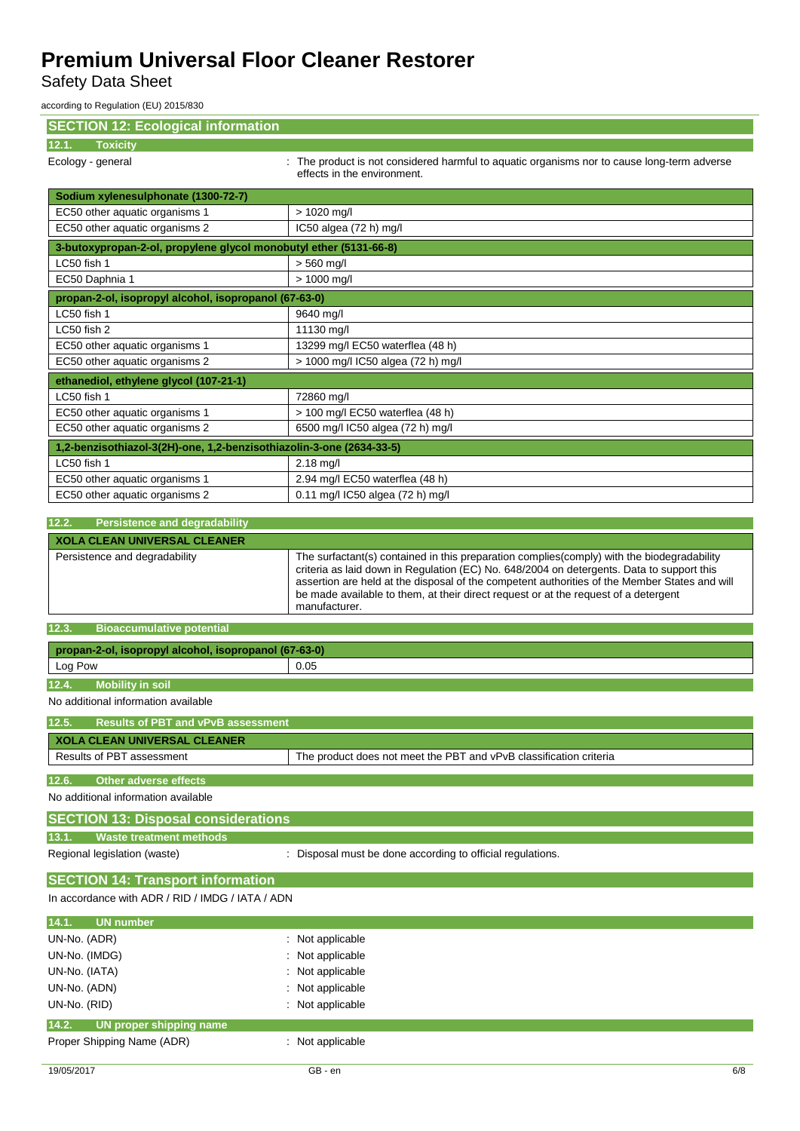Safety Data Sheet

according to Regulation (EU) 2015/830

| <b>SECTION 12: Ecological information</b>                            |                                                                                                                                                                                                                                                                                                                                                                                                   |
|----------------------------------------------------------------------|---------------------------------------------------------------------------------------------------------------------------------------------------------------------------------------------------------------------------------------------------------------------------------------------------------------------------------------------------------------------------------------------------|
| <b>Toxicity</b><br>12.1.                                             |                                                                                                                                                                                                                                                                                                                                                                                                   |
| Ecology - general                                                    | : The product is not considered harmful to aquatic organisms nor to cause long-term adverse<br>effects in the environment.                                                                                                                                                                                                                                                                        |
| Sodium xylenesulphonate (1300-72-7)                                  |                                                                                                                                                                                                                                                                                                                                                                                                   |
| EC50 other aquatic organisms 1                                       | > 1020 mg/l                                                                                                                                                                                                                                                                                                                                                                                       |
| EC50 other aquatic organisms 2                                       | IC50 algea (72 h) mg/l                                                                                                                                                                                                                                                                                                                                                                            |
| 3-butoxypropan-2-ol, propylene glycol monobutyl ether (5131-66-8)    |                                                                                                                                                                                                                                                                                                                                                                                                   |
| LC50 fish 1                                                          | $> 560$ mg/l                                                                                                                                                                                                                                                                                                                                                                                      |
| EC50 Daphnia 1                                                       | > 1000 mg/l                                                                                                                                                                                                                                                                                                                                                                                       |
| propan-2-ol, isopropyl alcohol, isopropanol (67-63-0)                |                                                                                                                                                                                                                                                                                                                                                                                                   |
| LC50 fish 1                                                          | 9640 mg/l                                                                                                                                                                                                                                                                                                                                                                                         |
| LC50 fish 2                                                          | 11130 mg/l                                                                                                                                                                                                                                                                                                                                                                                        |
| EC50 other aquatic organisms 1                                       | 13299 mg/l EC50 waterflea (48 h)                                                                                                                                                                                                                                                                                                                                                                  |
| EC50 other aquatic organisms 2                                       | > 1000 mg/l IC50 algea (72 h) mg/l                                                                                                                                                                                                                                                                                                                                                                |
| ethanediol, ethylene glycol (107-21-1)                               |                                                                                                                                                                                                                                                                                                                                                                                                   |
| LC50 fish 1                                                          | 72860 mg/l                                                                                                                                                                                                                                                                                                                                                                                        |
| EC50 other aquatic organisms 1                                       | > 100 mg/l EC50 waterflea (48 h)                                                                                                                                                                                                                                                                                                                                                                  |
| EC50 other aquatic organisms 2                                       | 6500 mg/l IC50 algea (72 h) mg/l                                                                                                                                                                                                                                                                                                                                                                  |
| 1,2-benzisothiazol-3(2H)-one, 1,2-benzisothiazolin-3-one (2634-33-5) |                                                                                                                                                                                                                                                                                                                                                                                                   |
| LC50 fish 1                                                          | $2.18$ mg/l                                                                                                                                                                                                                                                                                                                                                                                       |
| EC50 other aquatic organisms 1                                       | 2.94 mg/l EC50 waterflea (48 h)                                                                                                                                                                                                                                                                                                                                                                   |
| EC50 other aquatic organisms 2                                       | 0.11 mg/l IC50 algea (72 h) mg/l                                                                                                                                                                                                                                                                                                                                                                  |
| 12.2.                                                                |                                                                                                                                                                                                                                                                                                                                                                                                   |
| <b>Persistence and degradability</b>                                 |                                                                                                                                                                                                                                                                                                                                                                                                   |
| <b>XOLA CLEAN UNIVERSAL CLEANER</b>                                  |                                                                                                                                                                                                                                                                                                                                                                                                   |
| Persistence and degradability                                        | The surfactant(s) contained in this preparation complies (comply) with the biodegradability<br>criteria as laid down in Regulation (EC) No. 648/2004 on detergents. Data to support this<br>assertion are held at the disposal of the competent authorities of the Member States and will<br>be made available to them, at their direct request or at the request of a detergent<br>manufacturer. |
| <b>Bioaccumulative potential</b><br>12.3.                            |                                                                                                                                                                                                                                                                                                                                                                                                   |
| propan-2-ol, isopropyl alcohol, isopropanol (67-63-0)                |                                                                                                                                                                                                                                                                                                                                                                                                   |
| Log Pow                                                              | 0.05                                                                                                                                                                                                                                                                                                                                                                                              |
| <b>Mobility in soil</b>                                              |                                                                                                                                                                                                                                                                                                                                                                                                   |
| 12.4.                                                                |                                                                                                                                                                                                                                                                                                                                                                                                   |
| No additional information available                                  |                                                                                                                                                                                                                                                                                                                                                                                                   |
| 12.5. Results of PBT and vPvB assessment                             |                                                                                                                                                                                                                                                                                                                                                                                                   |
| <b>XOLA CLEAN UNIVERSAL CLEANER</b>                                  |                                                                                                                                                                                                                                                                                                                                                                                                   |
| Results of PBT assessment                                            | The product does not meet the PBT and vPvB classification criteria                                                                                                                                                                                                                                                                                                                                |
| <b>Other adverse effects</b><br>12.6.                                |                                                                                                                                                                                                                                                                                                                                                                                                   |
| No additional information available                                  |                                                                                                                                                                                                                                                                                                                                                                                                   |
|                                                                      |                                                                                                                                                                                                                                                                                                                                                                                                   |
| <b>SECTION 13: Disposal considerations</b>                           |                                                                                                                                                                                                                                                                                                                                                                                                   |
| <b>Waste treatment methods</b><br>13.1.                              |                                                                                                                                                                                                                                                                                                                                                                                                   |
| Regional legislation (waste)                                         | : Disposal must be done according to official regulations.                                                                                                                                                                                                                                                                                                                                        |
| <b>SECTION 14: Transport information</b>                             |                                                                                                                                                                                                                                                                                                                                                                                                   |
| In accordance with ADR / RID / IMDG / IATA / ADN                     |                                                                                                                                                                                                                                                                                                                                                                                                   |
| 14.1.<br><b>UN number</b>                                            |                                                                                                                                                                                                                                                                                                                                                                                                   |
| UN-No. (ADR)                                                         | : Not applicable                                                                                                                                                                                                                                                                                                                                                                                  |
| UN-No. (IMDG)                                                        | Not applicable                                                                                                                                                                                                                                                                                                                                                                                    |
| UN-No. (IATA)                                                        | Not applicable                                                                                                                                                                                                                                                                                                                                                                                    |
| UN-No. (ADN)                                                         | Not applicable                                                                                                                                                                                                                                                                                                                                                                                    |
| UN-No. (RID)                                                         | : Not applicable                                                                                                                                                                                                                                                                                                                                                                                  |
| UN proper shipping name<br>14.2.                                     |                                                                                                                                                                                                                                                                                                                                                                                                   |
| Proper Shipping Name (ADR)                                           | : Not applicable                                                                                                                                                                                                                                                                                                                                                                                  |
|                                                                      |                                                                                                                                                                                                                                                                                                                                                                                                   |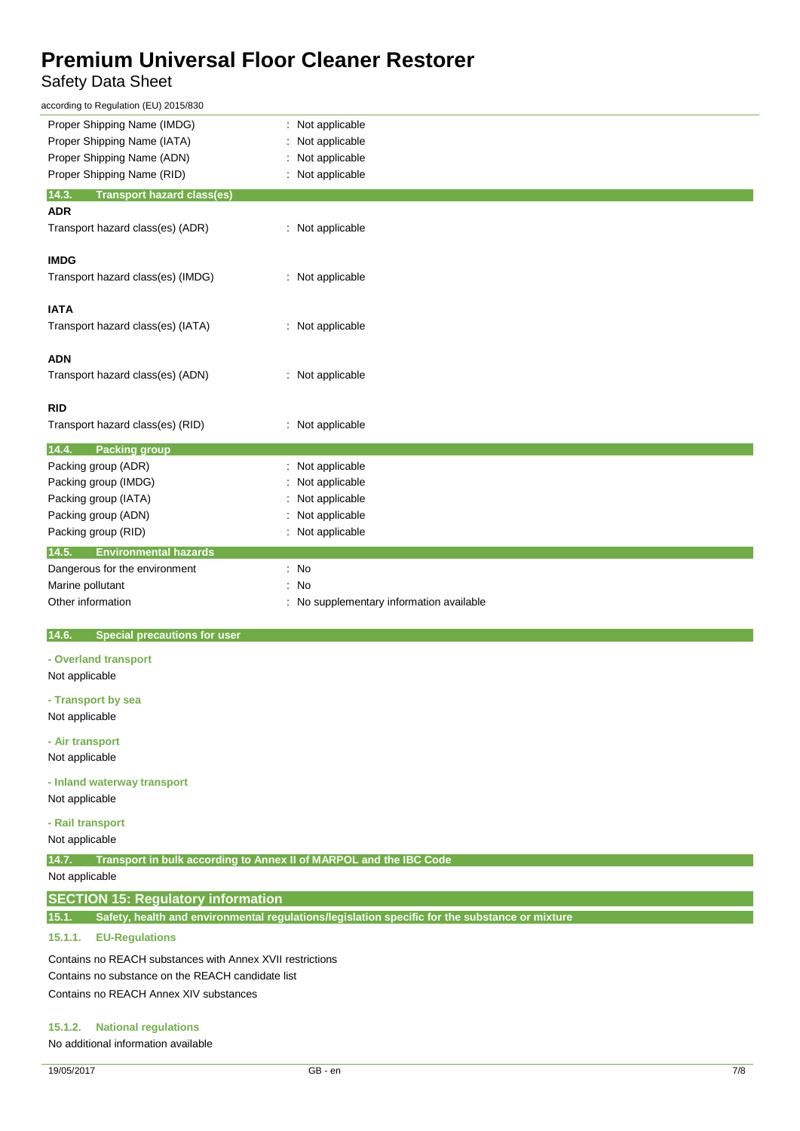## Safety Data Sheet

| according to Regulation (EU) 2015/830                                       |                                                                                                |
|-----------------------------------------------------------------------------|------------------------------------------------------------------------------------------------|
| Proper Shipping Name (IMDG)                                                 | Not applicable                                                                                 |
| Proper Shipping Name (IATA)                                                 | Not applicable                                                                                 |
| Proper Shipping Name (ADN)                                                  | Not applicable                                                                                 |
| Proper Shipping Name (RID)                                                  | Not applicable                                                                                 |
| 14.3.<br><b>Transport hazard class(es)</b>                                  |                                                                                                |
| <b>ADR</b>                                                                  |                                                                                                |
| Transport hazard class(es) (ADR)                                            | : Not applicable                                                                               |
| <b>IMDG</b>                                                                 |                                                                                                |
| Transport hazard class(es) (IMDG)                                           | : Not applicable                                                                               |
|                                                                             |                                                                                                |
| <b>IATA</b>                                                                 |                                                                                                |
| Transport hazard class(es) (IATA)                                           | : Not applicable                                                                               |
|                                                                             |                                                                                                |
| <b>ADN</b>                                                                  |                                                                                                |
| Transport hazard class(es) (ADN)                                            | : Not applicable                                                                               |
|                                                                             |                                                                                                |
| <b>RID</b>                                                                  |                                                                                                |
| Transport hazard class(es) (RID)                                            | : Not applicable                                                                               |
| 14.4.<br><b>Packing group</b>                                               |                                                                                                |
| Packing group (ADR)                                                         | : Not applicable                                                                               |
| Packing group (IMDG)                                                        | Not applicable                                                                                 |
| Packing group (IATA)                                                        | Not applicable                                                                                 |
| Packing group (ADN)                                                         | Not applicable                                                                                 |
| Packing group (RID)                                                         | Not applicable                                                                                 |
| <b>Environmental hazards</b><br>14.5.                                       |                                                                                                |
| Dangerous for the environment                                               | : No                                                                                           |
| Marine pollutant                                                            | No                                                                                             |
| Other information                                                           | No supplementary information available                                                         |
|                                                                             |                                                                                                |
| 14.6.<br><b>Special precautions for user</b>                                |                                                                                                |
| - Overland transport                                                        |                                                                                                |
| Not applicable                                                              |                                                                                                |
| - Transport by sea                                                          |                                                                                                |
| Not applicable                                                              |                                                                                                |
|                                                                             |                                                                                                |
| - Air transport                                                             |                                                                                                |
| Not applicable                                                              |                                                                                                |
| - Inland waterway transport                                                 |                                                                                                |
| Not applicable                                                              |                                                                                                |
| - Rail transport                                                            |                                                                                                |
| Not applicable                                                              |                                                                                                |
|                                                                             |                                                                                                |
| Transport in bulk according to Annex II of MARPOL and the IBC Code<br>14.7. |                                                                                                |
| Not applicable                                                              |                                                                                                |
| <b>SECTION 15: Regulatory information</b>                                   |                                                                                                |
| 15.1.                                                                       | Safety, health and environmental regulations/legislation specific for the substance or mixture |

#### **15.1.1. EU-Regulations**

Contains no REACH substances with Annex XVII restrictions Contains no substance on the REACH candidate list Contains no REACH Annex XIV substances

#### **15.1.2. National regulations**

No additional information available